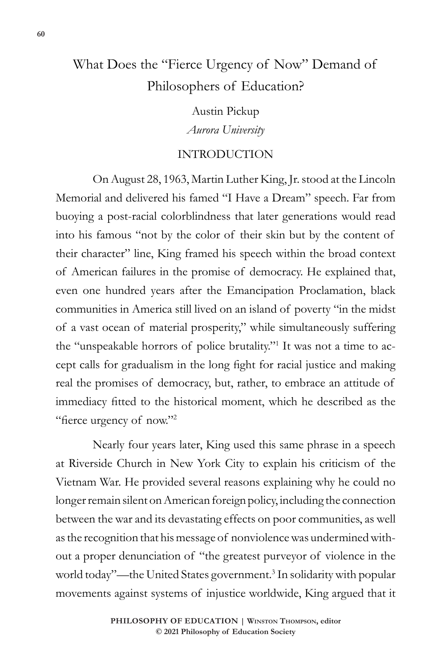# What Does the "Fierce Urgency of Now" Demand of Philosophers of Education?

Austin Pickup

*Aurora University*

#### INTRODUCTION

On August 28, 1963, Martin Luther King, Jr. stood at the Lincoln Memorial and delivered his famed "I Have a Dream" speech. Far from buoying a post-racial colorblindness that later generations would read into his famous "not by the color of their skin but by the content of their character" line, King framed his speech within the broad context of American failures in the promise of democracy. He explained that, even one hundred years after the Emancipation Proclamation, black communities in America still lived on an island of poverty "in the midst of a vast ocean of material prosperity," while simultaneously suffering the "unspeakable horrors of police brutality."1 It was not a time to accept calls for gradualism in the long fight for racial justice and making real the promises of democracy, but, rather, to embrace an attitude of immediacy fitted to the historical moment, which he described as the "fierce urgency of now."<sup>2</sup>

Nearly four years later, King used this same phrase in a speech at Riverside Church in New York City to explain his criticism of the Vietnam War. He provided several reasons explaining why he could no longer remain silent on American foreign policy, including the connection between the war and its devastating effects on poor communities, as well as the recognition that his message of nonviolence was undermined without a proper denunciation of "the greatest purveyor of violence in the world today"—the United States government.<sup>3</sup> In solidarity with popular movements against systems of injustice worldwide, King argued that it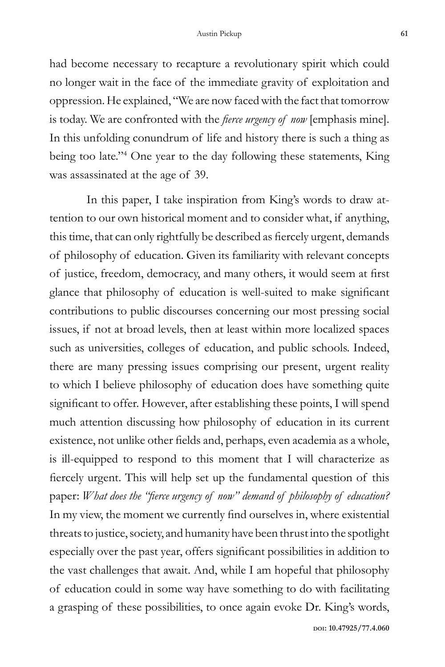had become necessary to recapture a revolutionary spirit which could no longer wait in the face of the immediate gravity of exploitation and oppression. He explained, "We are now faced with the fact that tomorrow is today. We are confronted with the *fierce urgency of now* [emphasis mine]. In this unfolding conundrum of life and history there is such a thing as being too late."4 One year to the day following these statements, King was assassinated at the age of 39.

In this paper, I take inspiration from King's words to draw attention to our own historical moment and to consider what, if anything, this time, that can only rightfully be described as fiercely urgent, demands of philosophy of education. Given its familiarity with relevant concepts of justice, freedom, democracy, and many others, it would seem at first glance that philosophy of education is well-suited to make significant contributions to public discourses concerning our most pressing social issues, if not at broad levels, then at least within more localized spaces such as universities, colleges of education, and public schools. Indeed, there are many pressing issues comprising our present, urgent reality to which I believe philosophy of education does have something quite significant to offer. However, after establishing these points, I will spend much attention discussing how philosophy of education in its current existence, not unlike other fields and, perhaps, even academia as a whole, is ill-equipped to respond to this moment that I will characterize as fiercely urgent. This will help set up the fundamental question of this paper: *What does the "fierce urgency of now" demand of philosophy of education?* In my view, the moment we currently find ourselves in, where existential threats to justice, society, and humanity have been thrust into the spotlight especially over the past year, offers significant possibilities in addition to the vast challenges that await. And, while I am hopeful that philosophy of education could in some way have something to do with facilitating a grasping of these possibilities, to once again evoke Dr. King's words,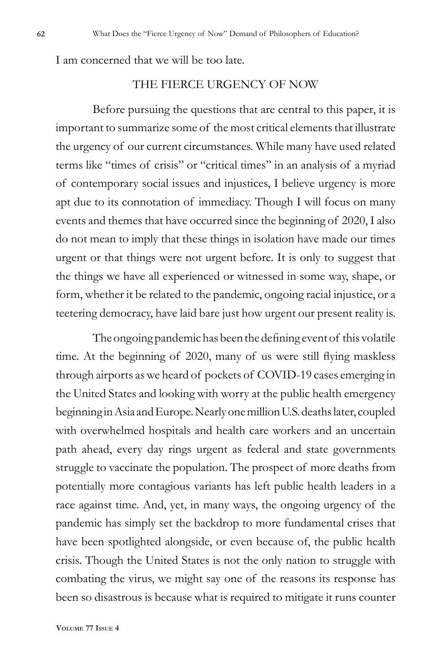I am concerned that we will be too late.

### THE FIERCE URGENCY OF NOW

Before pursuing the questions that are central to this paper, it is important to summarize some of the most critical elements that illustrate the urgency of our current circumstances. While many have used related terms like "times of crisis" or "critical times" in an analysis of a myriad of contemporary social issues and injustices, I believe urgency is more apt due to its connotation of immediacy. Though I will focus on many events and themes that have occurred since the beginning of 2020, I also do not mean to imply that these things in isolation have made our times urgent or that things were not urgent before. It is only to suggest that the things we have all experienced or witnessed in some way, shape, or form, whether it be related to the pandemic, ongoing racial injustice, or a teetering democracy, have laid bare just how urgent our present reality is.

The ongoing pandemic has been the defining event of this volatile time. At the beginning of 2020, many of us were still flying maskless through airports as we heard of pockets of COVID-19 cases emerging in the United States and looking with worry at the public health emergency beginning in Asia and Europe. Nearly one million U.S. deaths later, coupled with overwhelmed hospitals and health care workers and an uncertain path ahead, every day rings urgent as federal and state governments struggle to vaccinate the population. The prospect of more deaths from potentially more contagious variants has left public health leaders in a race against time. And, yet, in many ways, the ongoing urgency of the pandemic has simply set the backdrop to more fundamental crises that have been spotlighted alongside, or even because of, the public health crisis. Though the United States is not the only nation to struggle with combating the virus, we might say one of the reasons its response has been so disastrous is because what is required to mitigate it runs counter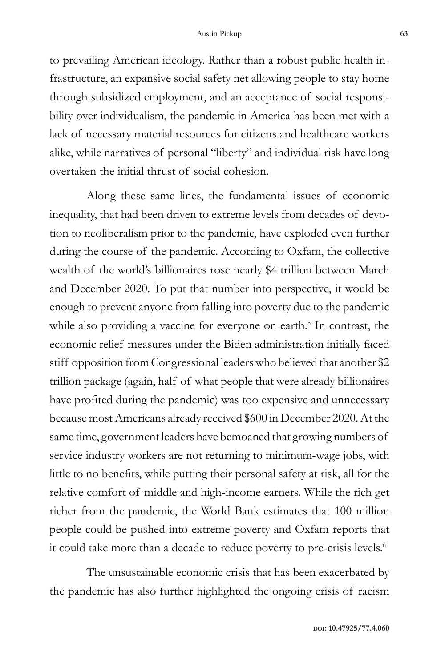to prevailing American ideology. Rather than a robust public health infrastructure, an expansive social safety net allowing people to stay home through subsidized employment, and an acceptance of social responsibility over individualism, the pandemic in America has been met with a lack of necessary material resources for citizens and healthcare workers alike, while narratives of personal "liberty" and individual risk have long overtaken the initial thrust of social cohesion.

Along these same lines, the fundamental issues of economic inequality, that had been driven to extreme levels from decades of devotion to neoliberalism prior to the pandemic, have exploded even further during the course of the pandemic. According to Oxfam, the collective wealth of the world's billionaires rose nearly \$4 trillion between March and December 2020. To put that number into perspective, it would be enough to prevent anyone from falling into poverty due to the pandemic while also providing a vaccine for everyone on earth.<sup>5</sup> In contrast, the economic relief measures under the Biden administration initially faced stiff opposition from Congressional leaders who believed that another \$2 trillion package (again, half of what people that were already billionaires have profited during the pandemic) was too expensive and unnecessary because most Americans already received \$600 in December 2020. At the same time, government leaders have bemoaned that growing numbers of service industry workers are not returning to minimum-wage jobs, with little to no benefits, while putting their personal safety at risk, all for the relative comfort of middle and high-income earners. While the rich get richer from the pandemic, the World Bank estimates that 100 million people could be pushed into extreme poverty and Oxfam reports that it could take more than a decade to reduce poverty to pre-crisis levels.<sup>6</sup>

The unsustainable economic crisis that has been exacerbated by the pandemic has also further highlighted the ongoing crisis of racism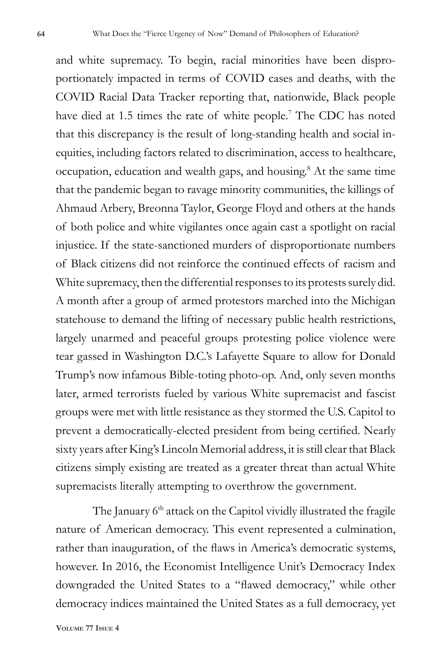and white supremacy. To begin, racial minorities have been disproportionately impacted in terms of COVID cases and deaths, with the COVID Racial Data Tracker reporting that, nationwide, Black people have died at 1.5 times the rate of white people.<sup>7</sup> The CDC has noted that this discrepancy is the result of long-standing health and social inequities, including factors related to discrimination, access to healthcare, occupation, education and wealth gaps, and housing.<sup>8</sup> At the same time that the pandemic began to ravage minority communities, the killings of Ahmaud Arbery, Breonna Taylor, George Floyd and others at the hands of both police and white vigilantes once again cast a spotlight on racial injustice. If the state-sanctioned murders of disproportionate numbers of Black citizens did not reinforce the continued effects of racism and White supremacy, then the differential responses to its protests surely did. A month after a group of armed protestors marched into the Michigan statehouse to demand the lifting of necessary public health restrictions, largely unarmed and peaceful groups protesting police violence were tear gassed in Washington D.C.'s Lafayette Square to allow for Donald Trump's now infamous Bible-toting photo-op. And, only seven months later, armed terrorists fueled by various White supremacist and fascist groups were met with little resistance as they stormed the U.S. Capitol to prevent a democratically-elected president from being certified. Nearly sixty years after King's Lincoln Memorial address, it is still clear that Black citizens simply existing are treated as a greater threat than actual White supremacists literally attempting to overthrow the government.

The January  $6<sup>th</sup>$  attack on the Capitol vividly illustrated the fragile nature of American democracy. This event represented a culmination, rather than inauguration, of the flaws in America's democratic systems, however. In 2016, the Economist Intelligence Unit's Democracy Index downgraded the United States to a "flawed democracy," while other democracy indices maintained the United States as a full democracy, yet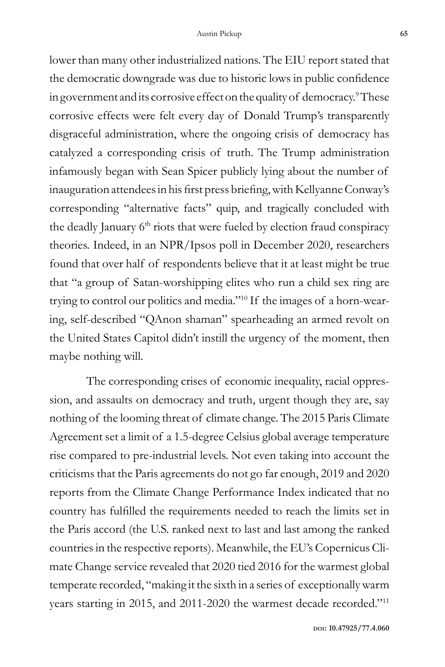lower than many other industrialized nations. The EIU report stated that the democratic downgrade was due to historic lows in public confidence in government and its corrosive effect on the quality of democracy.<sup>9</sup> These corrosive effects were felt every day of Donald Trump's transparently disgraceful administration, where the ongoing crisis of democracy has catalyzed a corresponding crisis of truth. The Trump administration infamously began with Sean Spicer publicly lying about the number of inauguration attendees in his first press briefing, with Kellyanne Conway's corresponding "alternative facts" quip, and tragically concluded with the deadly January  $6<sup>th</sup>$  riots that were fueled by election fraud conspiracy theories. Indeed, in an NPR/Ipsos poll in December 2020, researchers found that over half of respondents believe that it at least might be true that "a group of Satan-worshipping elites who run a child sex ring are trying to control our politics and media."10 If the images of a horn-wearing, self-described "QAnon shaman" spearheading an armed revolt on the United States Capitol didn't instill the urgency of the moment, then maybe nothing will.

The corresponding crises of economic inequality, racial oppression, and assaults on democracy and truth, urgent though they are, say nothing of the looming threat of climate change. The 2015 Paris Climate Agreement set a limit of a 1.5-degree Celsius global average temperature rise compared to pre-industrial levels. Not even taking into account the criticisms that the Paris agreements do not go far enough, 2019 and 2020 reports from the Climate Change Performance Index indicated that no country has fulfilled the requirements needed to reach the limits set in the Paris accord (the U.S. ranked next to last and last among the ranked countries in the respective reports). Meanwhile, the EU's Copernicus Climate Change service revealed that 2020 tied 2016 for the warmest global temperate recorded, "making it the sixth in a series of exceptionally warm years starting in 2015, and 2011-2020 the warmest decade recorded."11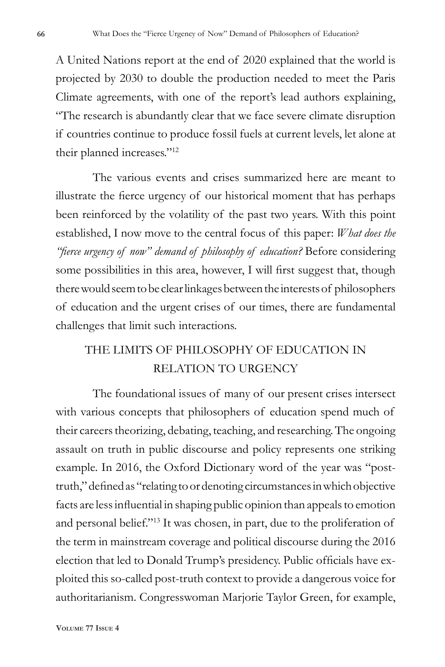A United Nations report at the end of 2020 explained that the world is projected by 2030 to double the production needed to meet the Paris Climate agreements, with one of the report's lead authors explaining, "The research is abundantly clear that we face severe climate disruption if countries continue to produce fossil fuels at current levels, let alone at their planned increases."12

The various events and crises summarized here are meant to illustrate the fierce urgency of our historical moment that has perhaps been reinforced by the volatility of the past two years. With this point established, I now move to the central focus of this paper: *What does the "fierce urgency of now" demand of philosophy of education?* Before considering some possibilities in this area, however, I will first suggest that, though there would seem to be clear linkages between the interests of philosophers of education and the urgent crises of our times, there are fundamental challenges that limit such interactions.

## THE LIMITS OF PHILOSOPHY OF EDUCATION IN RELATION TO URGENCY

The foundational issues of many of our present crises intersect with various concepts that philosophers of education spend much of their careers theorizing, debating, teaching, and researching. The ongoing assault on truth in public discourse and policy represents one striking example. In 2016, the Oxford Dictionary word of the year was "posttruth," defined as "relating to or denoting circumstances in which objective facts are less influential in shaping public opinion than appeals to emotion and personal belief."13 It was chosen, in part, due to the proliferation of the term in mainstream coverage and political discourse during the 2016 election that led to Donald Trump's presidency. Public officials have exploited this so-called post-truth context to provide a dangerous voice for authoritarianism. Congresswoman Marjorie Taylor Green, for example,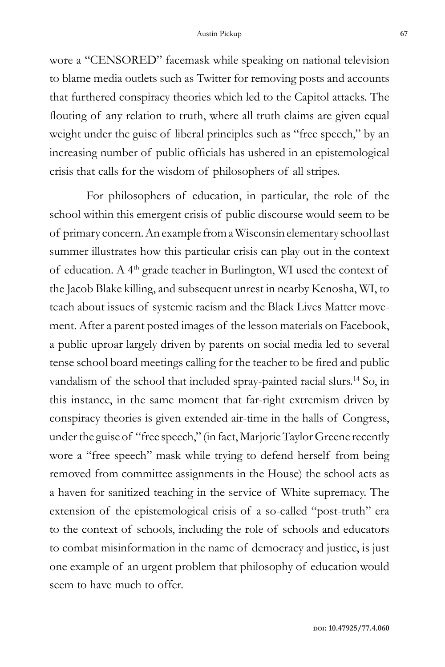wore a "CENSORED" facemask while speaking on national television to blame media outlets such as Twitter for removing posts and accounts that furthered conspiracy theories which led to the Capitol attacks. The flouting of any relation to truth, where all truth claims are given equal weight under the guise of liberal principles such as "free speech," by an increasing number of public officials has ushered in an epistemological crisis that calls for the wisdom of philosophers of all stripes.

For philosophers of education, in particular, the role of the school within this emergent crisis of public discourse would seem to be of primary concern. An example from a Wisconsin elementary school last summer illustrates how this particular crisis can play out in the context of education. A  $4<sup>th</sup>$  grade teacher in Burlington, WI used the context of the Jacob Blake killing, and subsequent unrest in nearby Kenosha, WI, to teach about issues of systemic racism and the Black Lives Matter movement. After a parent posted images of the lesson materials on Facebook, a public uproar largely driven by parents on social media led to several tense school board meetings calling for the teacher to be fired and public vandalism of the school that included spray-painted racial slurs.<sup>14</sup> So, in this instance, in the same moment that far-right extremism driven by conspiracy theories is given extended air-time in the halls of Congress, under the guise of "free speech," (in fact, Marjorie Taylor Greene recently wore a "free speech" mask while trying to defend herself from being removed from committee assignments in the House) the school acts as a haven for sanitized teaching in the service of White supremacy. The extension of the epistemological crisis of a so-called "post-truth" era to the context of schools, including the role of schools and educators to combat misinformation in the name of democracy and justice, is just one example of an urgent problem that philosophy of education would seem to have much to offer.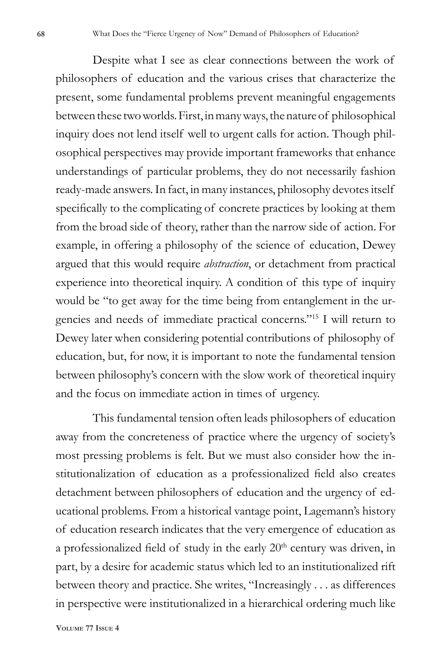Despite what I see as clear connections between the work of philosophers of education and the various crises that characterize the present, some fundamental problems prevent meaningful engagements between these two worlds. First, in many ways, the nature of philosophical inquiry does not lend itself well to urgent calls for action. Though philosophical perspectives may provide important frameworks that enhance understandings of particular problems, they do not necessarily fashion ready-made answers. In fact, in many instances, philosophy devotes itself specifically to the complicating of concrete practices by looking at them from the broad side of theory, rather than the narrow side of action. For example, in offering a philosophy of the science of education, Dewey argued that this would require *abstraction*, or detachment from practical experience into theoretical inquiry. A condition of this type of inquiry would be "to get away for the time being from entanglement in the urgencies and needs of immediate practical concerns."15 I will return to Dewey later when considering potential contributions of philosophy of education, but, for now, it is important to note the fundamental tension between philosophy's concern with the slow work of theoretical inquiry and the focus on immediate action in times of urgency.

This fundamental tension often leads philosophers of education away from the concreteness of practice where the urgency of society's most pressing problems is felt. But we must also consider how the institutionalization of education as a professionalized field also creates detachment between philosophers of education and the urgency of educational problems. From a historical vantage point, Lagemann's history of education research indicates that the very emergence of education as a professionalized field of study in the early  $20<sup>th</sup>$  century was driven, in part, by a desire for academic status which led to an institutionalized rift between theory and practice. She writes, "Increasingly . . . as differences in perspective were institutionalized in a hierarchical ordering much like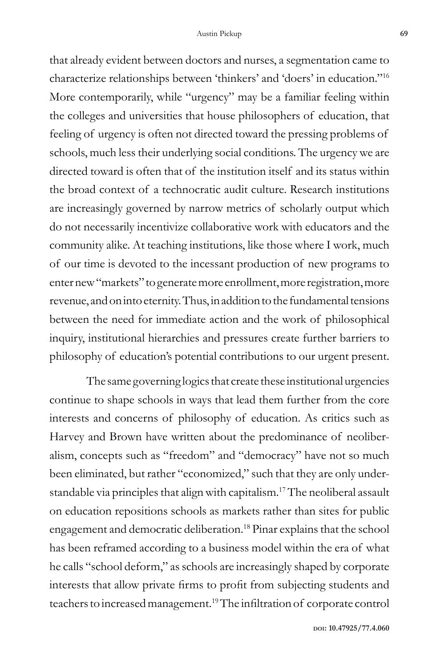that already evident between doctors and nurses, a segmentation came to characterize relationships between 'thinkers' and 'doers' in education."16 More contemporarily, while "urgency" may be a familiar feeling within the colleges and universities that house philosophers of education, that feeling of urgency is often not directed toward the pressing problems of schools, much less their underlying social conditions. The urgency we are directed toward is often that of the institution itself and its status within the broad context of a technocratic audit culture. Research institutions are increasingly governed by narrow metrics of scholarly output which do not necessarily incentivize collaborative work with educators and the community alike. At teaching institutions, like those where I work, much of our time is devoted to the incessant production of new programs to enter new "markets" to generate more enrollment, more registration, more revenue, and on into eternity. Thus, in addition to the fundamental tensions between the need for immediate action and the work of philosophical inquiry, institutional hierarchies and pressures create further barriers to philosophy of education's potential contributions to our urgent present.

The same governing logics that create these institutional urgencies continue to shape schools in ways that lead them further from the core interests and concerns of philosophy of education. As critics such as Harvey and Brown have written about the predominance of neoliberalism, concepts such as "freedom" and "democracy" have not so much been eliminated, but rather "economized," such that they are only understandable via principles that align with capitalism.17 The neoliberal assault on education repositions schools as markets rather than sites for public engagement and democratic deliberation.18 Pinar explains that the school has been reframed according to a business model within the era of what he calls "school deform," as schools are increasingly shaped by corporate interests that allow private firms to profit from subjecting students and teachers to increased management.19 The infiltration of corporate control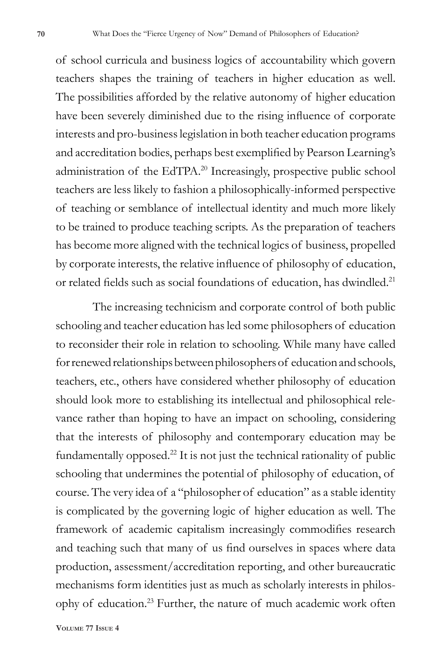of school curricula and business logics of accountability which govern teachers shapes the training of teachers in higher education as well. The possibilities afforded by the relative autonomy of higher education have been severely diminished due to the rising influence of corporate interests and pro-business legislation in both teacher education programs and accreditation bodies, perhaps best exemplified by Pearson Learning's administration of the EdTPA.<sup>20</sup> Increasingly, prospective public school teachers are less likely to fashion a philosophically-informed perspective of teaching or semblance of intellectual identity and much more likely to be trained to produce teaching scripts. As the preparation of teachers has become more aligned with the technical logics of business, propelled by corporate interests, the relative influence of philosophy of education, or related fields such as social foundations of education, has dwindled.<sup>21</sup>

The increasing technicism and corporate control of both public schooling and teacher education has led some philosophers of education to reconsider their role in relation to schooling. While many have called for renewed relationships between philosophers of education and schools, teachers, etc., others have considered whether philosophy of education should look more to establishing its intellectual and philosophical relevance rather than hoping to have an impact on schooling, considering that the interests of philosophy and contemporary education may be fundamentally opposed.22 It is not just the technical rationality of public schooling that undermines the potential of philosophy of education, of course. The very idea of a "philosopher of education" as a stable identity is complicated by the governing logic of higher education as well. The framework of academic capitalism increasingly commodifies research and teaching such that many of us find ourselves in spaces where data production, assessment/accreditation reporting, and other bureaucratic mechanisms form identities just as much as scholarly interests in philosophy of education.23 Further, the nature of much academic work often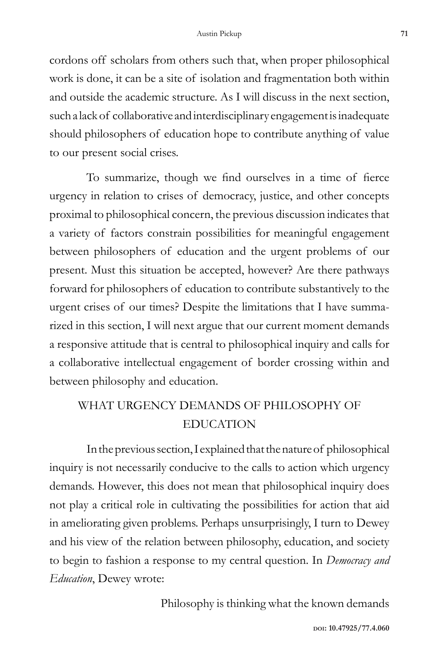cordons off scholars from others such that, when proper philosophical work is done, it can be a site of isolation and fragmentation both within and outside the academic structure. As I will discuss in the next section, such a lack of collaborative and interdisciplinary engagement is inadequate should philosophers of education hope to contribute anything of value to our present social crises.

To summarize, though we find ourselves in a time of fierce urgency in relation to crises of democracy, justice, and other concepts proximal to philosophical concern, the previous discussion indicates that a variety of factors constrain possibilities for meaningful engagement between philosophers of education and the urgent problems of our present. Must this situation be accepted, however? Are there pathways forward for philosophers of education to contribute substantively to the urgent crises of our times? Despite the limitations that I have summarized in this section, I will next argue that our current moment demands a responsive attitude that is central to philosophical inquiry and calls for a collaborative intellectual engagement of border crossing within and between philosophy and education.

### WHAT URGENCY DEMANDS OF PHILOSOPHY OF EDUCATION

In the previous section, I explained that the nature of philosophical inquiry is not necessarily conducive to the calls to action which urgency demands. However, this does not mean that philosophical inquiry does not play a critical role in cultivating the possibilities for action that aid in ameliorating given problems. Perhaps unsurprisingly, I turn to Dewey and his view of the relation between philosophy, education, and society to begin to fashion a response to my central question. In *Democracy and Education*, Dewey wrote:

Philosophy is thinking what the known demands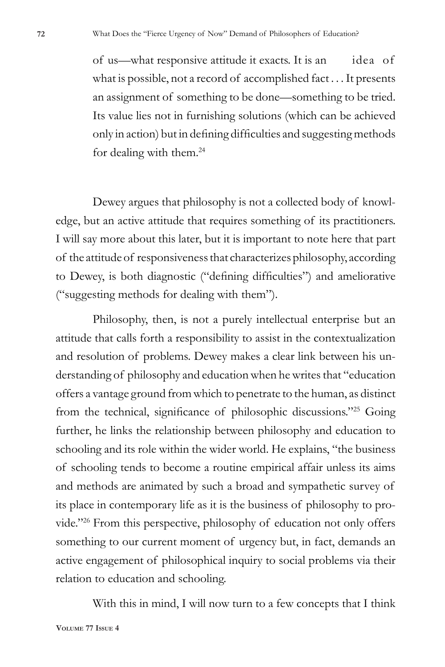of us—what responsive attitude it exacts. It is an idea of what is possible, not a record of accomplished fact . . . It presents an assignment of something to be done—something to be tried. Its value lies not in furnishing solutions (which can be achieved only in action) but in defining difficulties and suggesting methods for dealing with them.<sup>24</sup>

Dewey argues that philosophy is not a collected body of knowledge, but an active attitude that requires something of its practitioners. I will say more about this later, but it is important to note here that part of the attitude of responsiveness that characterizes philosophy, according to Dewey, is both diagnostic ("defining difficulties") and ameliorative ("suggesting methods for dealing with them").

Philosophy, then, is not a purely intellectual enterprise but an attitude that calls forth a responsibility to assist in the contextualization and resolution of problems. Dewey makes a clear link between his understanding of philosophy and education when he writes that "education offers a vantage ground from which to penetrate to the human, as distinct from the technical, significance of philosophic discussions."25 Going further, he links the relationship between philosophy and education to schooling and its role within the wider world. He explains, "the business of schooling tends to become a routine empirical affair unless its aims and methods are animated by such a broad and sympathetic survey of its place in contemporary life as it is the business of philosophy to provide."26 From this perspective, philosophy of education not only offers something to our current moment of urgency but, in fact, demands an active engagement of philosophical inquiry to social problems via their relation to education and schooling.

With this in mind, I will now turn to a few concepts that I think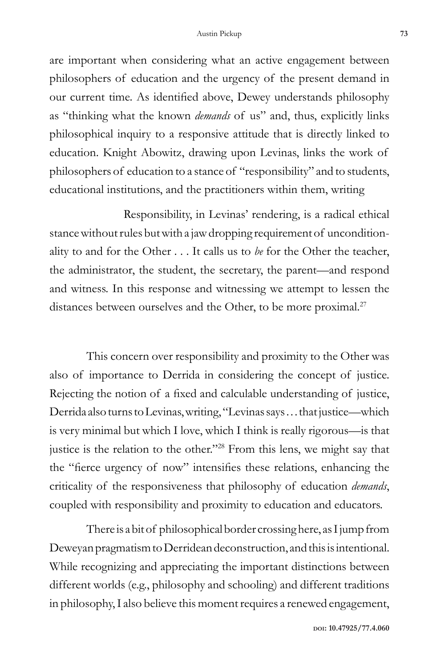are important when considering what an active engagement between philosophers of education and the urgency of the present demand in our current time. As identified above, Dewey understands philosophy as "thinking what the known *demands* of us" and, thus, explicitly links philosophical inquiry to a responsive attitude that is directly linked to education. Knight Abowitz, drawing upon Levinas, links the work of philosophers of education to a stance of "responsibility" and to students, educational institutions, and the practitioners within them, writing

Responsibility, in Levinas' rendering, is a radical ethical stance without rules but with a jaw dropping requirement of unconditionality to and for the Other . . . It calls us to *be* for the Other the teacher, the administrator, the student, the secretary, the parent—and respond and witness. In this response and witnessing we attempt to lessen the distances between ourselves and the Other, to be more proximal.<sup>27</sup>

This concern over responsibility and proximity to the Other was also of importance to Derrida in considering the concept of justice. Rejecting the notion of a fixed and calculable understanding of justice, Derrida also turns to Levinas, writing, "Levinas says . . . that justice—which is very minimal but which I love, which I think is really rigorous—is that justice is the relation to the other."28 From this lens, we might say that the "fierce urgency of now" intensifies these relations, enhancing the criticality of the responsiveness that philosophy of education *demands*, coupled with responsibility and proximity to education and educators.

There is a bit of philosophical border crossing here, as I jump from Deweyan pragmatism to Derridean deconstruction, and this is intentional. While recognizing and appreciating the important distinctions between different worlds (e.g., philosophy and schooling) and different traditions in philosophy, I also believe this moment requires a renewed engagement,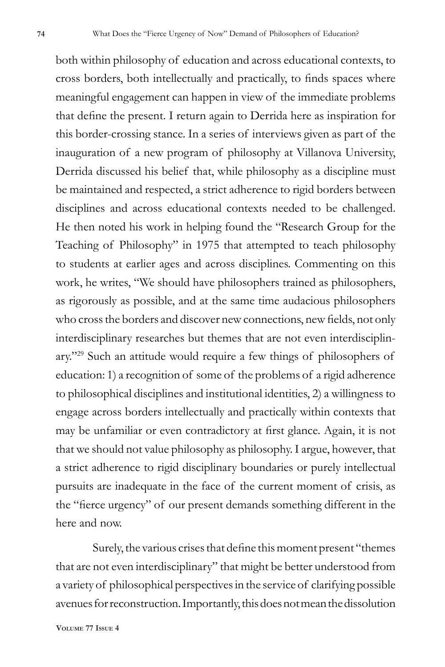both within philosophy of education and across educational contexts, to cross borders, both intellectually and practically, to finds spaces where meaningful engagement can happen in view of the immediate problems that define the present. I return again to Derrida here as inspiration for this border-crossing stance. In a series of interviews given as part of the inauguration of a new program of philosophy at Villanova University, Derrida discussed his belief that, while philosophy as a discipline must be maintained and respected, a strict adherence to rigid borders between disciplines and across educational contexts needed to be challenged. He then noted his work in helping found the "Research Group for the Teaching of Philosophy" in 1975 that attempted to teach philosophy to students at earlier ages and across disciplines. Commenting on this work, he writes, "We should have philosophers trained as philosophers, as rigorously as possible, and at the same time audacious philosophers who cross the borders and discover new connections, new fields, not only interdisciplinary researches but themes that are not even interdisciplinary."29 Such an attitude would require a few things of philosophers of education: 1) a recognition of some of the problems of a rigid adherence to philosophical disciplines and institutional identities, 2) a willingness to engage across borders intellectually and practically within contexts that may be unfamiliar or even contradictory at first glance. Again, it is not that we should not value philosophy as philosophy. I argue, however, that a strict adherence to rigid disciplinary boundaries or purely intellectual pursuits are inadequate in the face of the current moment of crisis, as the "fierce urgency" of our present demands something different in the here and now.

Surely, the various crises that define this moment present "themes that are not even interdisciplinary" that might be better understood from a variety of philosophical perspectives in the service of clarifying possible avenues for reconstruction. Importantly, this does not mean the dissolution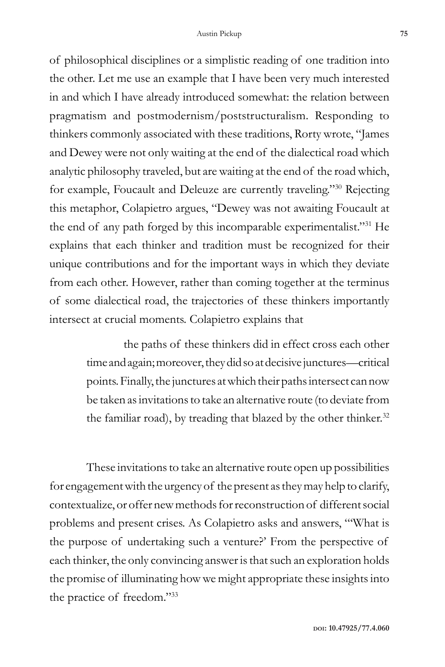of philosophical disciplines or a simplistic reading of one tradition into the other. Let me use an example that I have been very much interested in and which I have already introduced somewhat: the relation between pragmatism and postmodernism/poststructuralism. Responding to thinkers commonly associated with these traditions, Rorty wrote, "James and Dewey were not only waiting at the end of the dialectical road which analytic philosophy traveled, but are waiting at the end of the road which, for example, Foucault and Deleuze are currently traveling."30 Rejecting this metaphor, Colapietro argues, "Dewey was not awaiting Foucault at the end of any path forged by this incomparable experimentalist."31 He explains that each thinker and tradition must be recognized for their unique contributions and for the important ways in which they deviate from each other. However, rather than coming together at the terminus of some dialectical road, the trajectories of these thinkers importantly intersect at crucial moments. Colapietro explains that

> the paths of these thinkers did in effect cross each other time and again; moreover, they did so at decisive junctures—critical points. Finally, the junctures at which their paths intersect can now be taken as invitations to take an alternative route (to deviate from the familiar road), by treading that blazed by the other thinker.<sup>32</sup>

These invitations to take an alternative route open up possibilities for engagement with the urgency of the present as they may help to clarify, contextualize, or offer new methods for reconstruction of different social problems and present crises. As Colapietro asks and answers, "'What is the purpose of undertaking such a venture?' From the perspective of each thinker, the only convincing answer is that such an exploration holds the promise of illuminating how we might appropriate these insights into the practice of freedom."33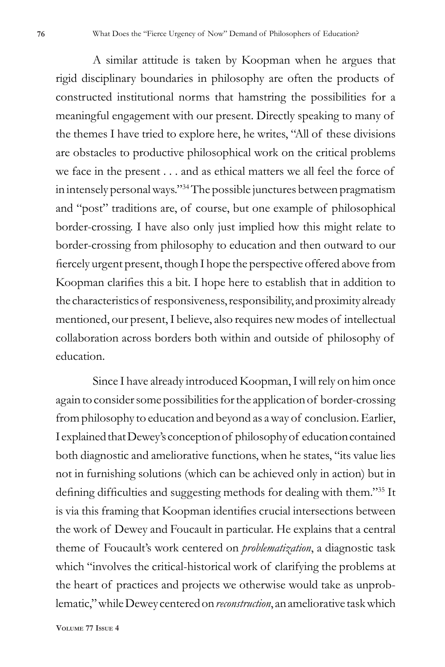A similar attitude is taken by Koopman when he argues that rigid disciplinary boundaries in philosophy are often the products of constructed institutional norms that hamstring the possibilities for a meaningful engagement with our present. Directly speaking to many of the themes I have tried to explore here, he writes, "All of these divisions are obstacles to productive philosophical work on the critical problems we face in the present . . . and as ethical matters we all feel the force of in intensely personal ways."34 The possible junctures between pragmatism and "post" traditions are, of course, but one example of philosophical border-crossing. I have also only just implied how this might relate to border-crossing from philosophy to education and then outward to our fiercely urgent present, though I hope the perspective offered above from Koopman clarifies this a bit. I hope here to establish that in addition to the characteristics of responsiveness, responsibility, and proximity already mentioned, our present, I believe, also requires new modes of intellectual collaboration across borders both within and outside of philosophy of education.

Since I have already introduced Koopman, I will rely on him once again to consider some possibilities for the application of border-crossing from philosophy to education and beyond as a way of conclusion. Earlier, I explained that Dewey's conception of philosophy of education contained both diagnostic and ameliorative functions, when he states, "its value lies not in furnishing solutions (which can be achieved only in action) but in defining difficulties and suggesting methods for dealing with them."35 It is via this framing that Koopman identifies crucial intersections between the work of Dewey and Foucault in particular. He explains that a central theme of Foucault's work centered on *problematization*, a diagnostic task which "involves the critical-historical work of clarifying the problems at the heart of practices and projects we otherwise would take as unproblematic," while Dewey centered on *reconstruction*, an ameliorative task which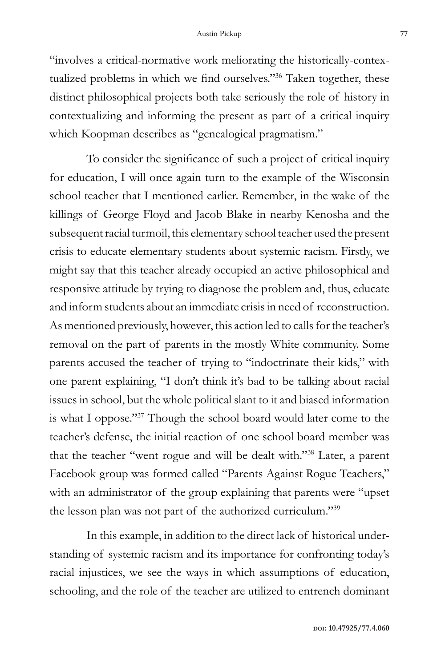"involves a critical-normative work meliorating the historically-contextualized problems in which we find ourselves."36 Taken together, these distinct philosophical projects both take seriously the role of history in contextualizing and informing the present as part of a critical inquiry which Koopman describes as "genealogical pragmatism."

To consider the significance of such a project of critical inquiry for education, I will once again turn to the example of the Wisconsin school teacher that I mentioned earlier. Remember, in the wake of the killings of George Floyd and Jacob Blake in nearby Kenosha and the subsequent racial turmoil, this elementary school teacher used the present crisis to educate elementary students about systemic racism. Firstly, we might say that this teacher already occupied an active philosophical and responsive attitude by trying to diagnose the problem and, thus, educate and inform students about an immediate crisis in need of reconstruction. As mentioned previously, however, this action led to calls for the teacher's removal on the part of parents in the mostly White community. Some parents accused the teacher of trying to "indoctrinate their kids," with one parent explaining, "I don't think it's bad to be talking about racial issues in school, but the whole political slant to it and biased information is what I oppose."37 Though the school board would later come to the teacher's defense, the initial reaction of one school board member was that the teacher "went rogue and will be dealt with."38 Later, a parent Facebook group was formed called "Parents Against Rogue Teachers," with an administrator of the group explaining that parents were "upset the lesson plan was not part of the authorized curriculum."39

In this example, in addition to the direct lack of historical understanding of systemic racism and its importance for confronting today's racial injustices, we see the ways in which assumptions of education, schooling, and the role of the teacher are utilized to entrench dominant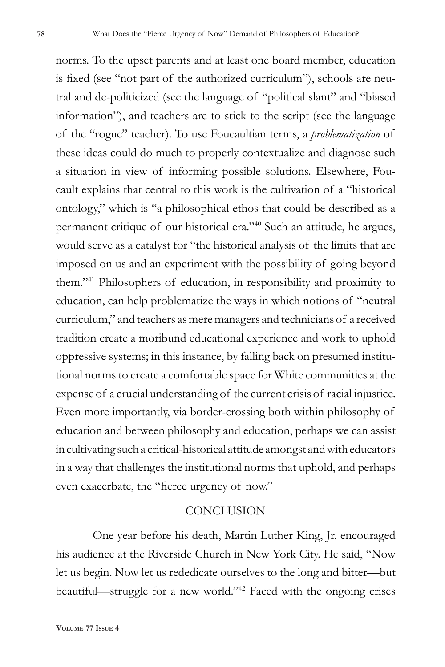norms. To the upset parents and at least one board member, education is fixed (see "not part of the authorized curriculum"), schools are neutral and de-politicized (see the language of "political slant" and "biased information"), and teachers are to stick to the script (see the language of the "rogue" teacher). To use Foucaultian terms, a *problematization* of these ideas could do much to properly contextualize and diagnose such a situation in view of informing possible solutions. Elsewhere, Foucault explains that central to this work is the cultivation of a "historical ontology," which is "a philosophical ethos that could be described as a permanent critique of our historical era."40 Such an attitude, he argues, would serve as a catalyst for "the historical analysis of the limits that are imposed on us and an experiment with the possibility of going beyond them."41 Philosophers of education, in responsibility and proximity to education, can help problematize the ways in which notions of "neutral curriculum," and teachers as mere managers and technicians of a received tradition create a moribund educational experience and work to uphold oppressive systems; in this instance, by falling back on presumed institutional norms to create a comfortable space for White communities at the expense of a crucial understanding of the current crisis of racial injustice. Even more importantly, via border-crossing both within philosophy of education and between philosophy and education, perhaps we can assist in cultivating such a critical-historical attitude amongst and with educators in a way that challenges the institutional norms that uphold, and perhaps even exacerbate, the "fierce urgency of now."

#### **CONCLUSION**

One year before his death, Martin Luther King, Jr. encouraged his audience at the Riverside Church in New York City. He said, "Now let us begin. Now let us rededicate ourselves to the long and bitter—but beautiful—struggle for a new world."42 Faced with the ongoing crises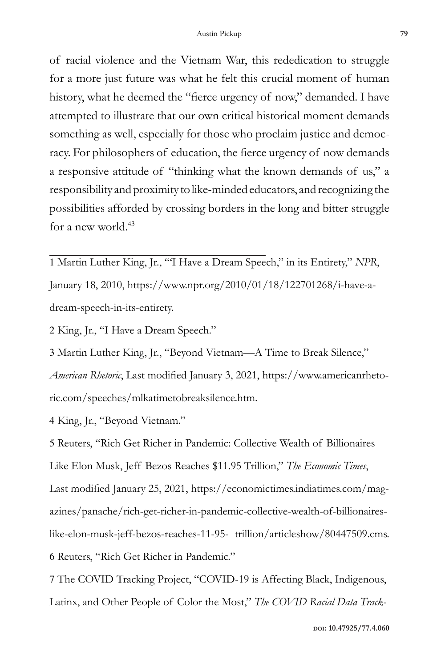of racial violence and the Vietnam War, this rededication to struggle for a more just future was what he felt this crucial moment of human history, what he deemed the "fierce urgency of now," demanded. I have attempted to illustrate that our own critical historical moment demands something as well, especially for those who proclaim justice and democracy. For philosophers of education, the fierce urgency of now demands a responsive attitude of "thinking what the known demands of us," a responsibility and proximity to like-minded educators, and recognizing the possibilities afforded by crossing borders in the long and bitter struggle for a new world.<sup>43</sup>

1 Martin Luther King, Jr., "'I Have a Dream Speech," in its Entirety," *NPR*, January 18, 2010, https://www.npr.org/2010/01/18/122701268/i-have-adream-speech-in-its-entirety.

2 King, Jr., "I Have a Dream Speech."

3 Martin Luther King, Jr., "Beyond Vietnam—A Time to Break Silence," *American Rhetoric*, Last modified January 3, 2021, https://www.americanrhetoric.com/speeches/mlkatimetobreaksilence.htm.

4 King, Jr., "Beyond Vietnam."

5 Reuters, "Rich Get Richer in Pandemic: Collective Wealth of Billionaires Like Elon Musk, Jeff Bezos Reaches \$11.95 Trillion," *The Economic Times*, Last modified January 25, 2021, https://economictimes.indiatimes.com/magazines/panache/rich-get-richer-in-pandemic-collective-wealth-of-billionaireslike-elon-musk-jeff-bezos-reaches-11-95- trillion/articleshow/80447509.cms. 6 Reuters, "Rich Get Richer in Pandemic."

7 The COVID Tracking Project, "COVID-19 is Affecting Black, Indigenous, Latinx, and Other People of Color the Most," *The COVID Racial Data Track-*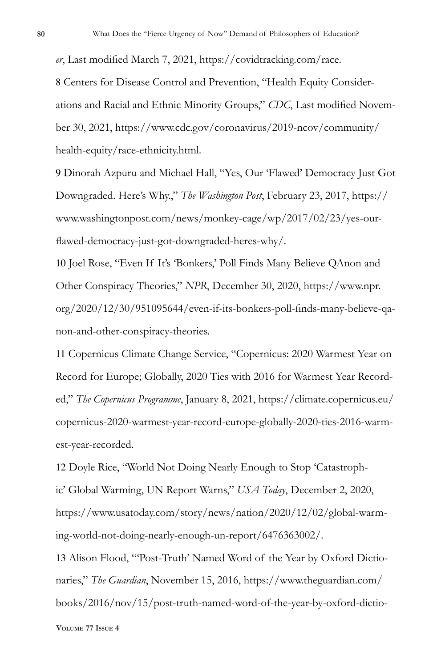*er*, Last modified March 7, 2021, https://covidtracking.com/race. 8 Centers for Disease Control and Prevention, "Health Equity Considerations and Racial and Ethnic Minority Groups," *CDC*, Last modified November 30, 2021, https://www.cdc.gov/coronavirus/2019-ncov/community/ health-equity/race-ethnicity.html.

9 Dinorah Azpuru and Michael Hall, "Yes, Our 'Flawed' Democracy Just Got Downgraded. Here's Why.," *The Washington Post*, February 23, 2017, https:// www.washingtonpost.com/news/monkey-cage/wp/2017/02/23/yes-ourflawed-democracy-just-got-downgraded-heres-why/.

10 Joel Rose, "Even If It's 'Bonkers,' Poll Finds Many Believe QAnon and Other Conspiracy Theories," *NPR*, December 30, 2020, https://www.npr. org/2020/12/30/951095644/even-if-its-bonkers-poll-finds-many-believe-qanon-and-other-conspiracy-theories.

11 Copernicus Climate Change Service, "Copernicus: 2020 Warmest Year on Record for Europe; Globally, 2020 Ties with 2016 for Warmest Year Recorded," *The Copernicus Programme*, January 8, 2021, https://climate.copernicus.eu/ copernicus-2020-warmest-year-record-europe-globally-2020-ties-2016-warmest-year-recorded.

12 Doyle Rice, "World Not Doing Nearly Enough to Stop 'Catastrophic' Global Warming, UN Report Warns," *USA Today*, December 2, 2020, https://www.usatoday.com/story/news/nation/2020/12/02/global-warming-world-not-doing-nearly-enough-un-report/6476363002/.

13 Alison Flood, "'Post-Truth' Named Word of the Year by Oxford Dictionaries," *The Guardian*, November 15, 2016, https://www.theguardian.com/ books/2016/nov/15/post-truth-named-word-of-the-year-by-oxford-dictio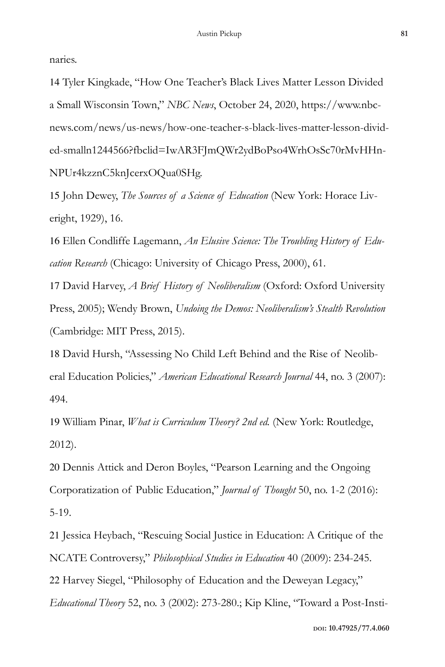naries.

14 Tyler Kingkade, "How One Teacher's Black Lives Matter Lesson Divided a Small Wisconsin Town," *NBC News*, October 24, 2020, https://www.nbcnews.com/news/us-news/how-one-teacher-s-black-lives-matter-lesson-divided-smalln1244566?fbclid=IwAR3FJmQWr2ydBoPso4WrhOsSc70rMvHHn-NPUr4kzznC5knJcerxOQua0SHg.

15 John Dewey, *The Sources of a Science of Education* (New York: Horace Liveright, 1929), 16.

16 Ellen Condliffe Lagemann, *An Elusive Science: The Troubling History of Education Research* (Chicago: University of Chicago Press, 2000), 61.

17 David Harvey, *A Brief History of Neoliberalism* (Oxford: Oxford University Press, 2005); Wendy Brown, *Undoing the Demos: Neoliberalism's Stealth Revolution* (Cambridge: MIT Press, 2015).

18 David Hursh, "Assessing No Child Left Behind and the Rise of Neoliberal Education Policies," *American Educational Research Journal* 44, no. 3 (2007): 494.

19 William Pinar, *What is Curriculum Theory? 2nd ed.* (New York: Routledge, 2012).

20 Dennis Attick and Deron Boyles, "Pearson Learning and the Ongoing Corporatization of Public Education," *Journal of Thought* 50, no. 1-2 (2016): 5-19.

21 Jessica Heybach, "Rescuing Social Justice in Education: A Critique of the NCATE Controversy," *Philosophical Studies in Education* 40 (2009): 234-245.

22 Harvey Siegel, "Philosophy of Education and the Deweyan Legacy,"

*Educational Theory* 52, no. 3 (2002): 273-280.; Kip Kline, "Toward a Post-Insti-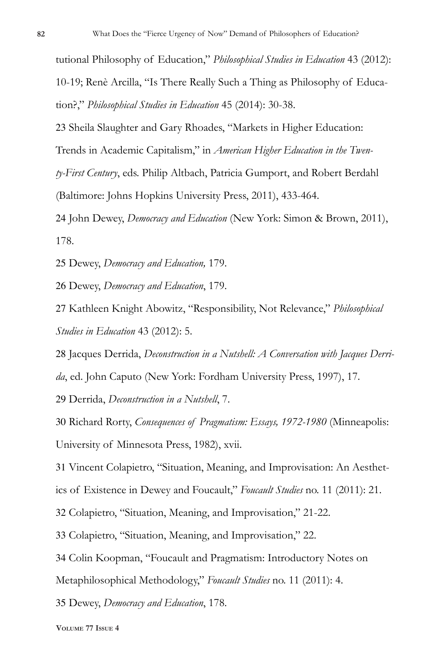tutional Philosophy of Education," *Philosophical Studies in Education* 43 (2012): 10-19; Renè Arcilla, "Is There Really Such a Thing as Philosophy of Education?," *Philosophical Studies in Education* 45 (2014): 30-38.

23 Sheila Slaughter and Gary Rhoades, "Markets in Higher Education: Trends in Academic Capitalism," in *American Higher Education in the Twenty-First Century*, eds. Philip Altbach, Patricia Gumport, and Robert Berdahl (Baltimore: Johns Hopkins University Press, 2011), 433-464.

24 John Dewey, *Democracy and Education* (New York: Simon & Brown, 2011), 178.

25 Dewey, *Democracy and Education,* 179.

26 Dewey, *Democracy and Education*, 179.

27 Kathleen Knight Abowitz, "Responsibility, Not Relevance," *Philosophical Studies in Education* 43 (2012): 5.

28 Jacques Derrida, *Deconstruction in a Nutshell: A Conversation with Jacques Derrida*, ed. John Caputo (New York: Fordham University Press, 1997), 17.

29 Derrida, *Deconstruction in a Nutshell*, 7.

30 Richard Rorty, *Consequences of Pragmatism: Essays, 1972-1980* (Minneapolis: University of Minnesota Press, 1982), xvii.

31 Vincent Colapietro, "Situation, Meaning, and Improvisation: An Aesthetics of Existence in Dewey and Foucault," *Foucault Studies* no. 11 (2011): 21.

32 Colapietro, "Situation, Meaning, and Improvisation," 21-22.

33 Colapietro, "Situation, Meaning, and Improvisation," 22.

34 Colin Koopman, "Foucault and Pragmatism: Introductory Notes on

Metaphilosophical Methodology," *Foucault Studies* no. 11 (2011): 4.

35 Dewey, *Democracy and Education*, 178.